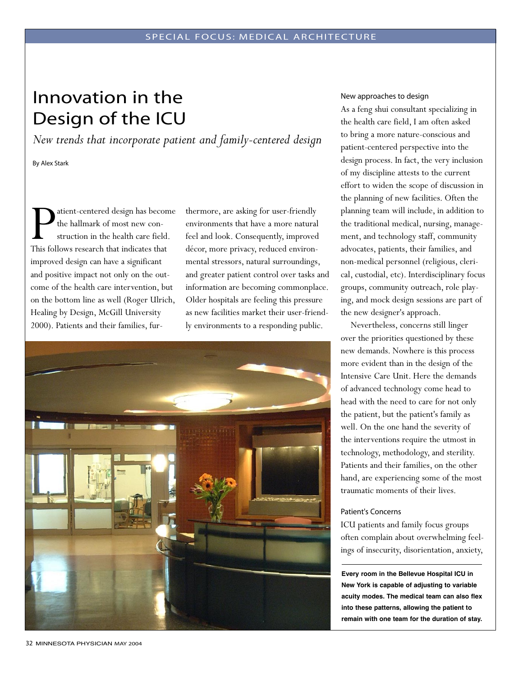# Innovation in the Design of the ICU

*New trends that incorporate patient and family-centered design*

By Alex Stark

Patient-centered design has become This follows research that indicates that the hallmark of most new construction in the health care field. improved design can have a significant and positive impact not only on the outcome of the health care intervention, but on the bottom line as well (Roger Ulrich, Healing by Design, McGill University 2000). Patients and their families, fur-

thermore, are asking for user-friendly environments that have a more natural feel and look. Consequently, improved décor, more privacy, reduced environmental stressors, natural surroundings, and greater patient control over tasks and information are becoming commonplace. Older hospitals are feeling this pressure as new facilities market their user-friendly environments to a responding public.



#### New approaches to design

As a feng shui consultant specializing in the health care field, I am often asked to bring a more nature-conscious and patient-centered perspective into the design process. In fact, the very inclusion of my discipline attests to the current effort to widen the scope of discussion in the planning of new facilities. Often the planning team will include, in addition to the traditional medical, nursing, management, and technology staff, community advocates, patients, their families, and non-medical personnel (religious, clerical, custodial, etc). Interdisciplinary focus groups, community outreach, role playing, and mock design sessions are part of the new designer's approach.

Nevertheless, concerns still linger over the priorities questioned by these new demands. Nowhere is this process more evident than in the design of the Intensive Care Unit. Here the demands of advanced technology come head to head with the need to care for not only the patient, but the patient's family as well. On the one hand the severity of the interventions require the utmost in technology, methodology, and sterility. Patients and their families, on the other hand, are experiencing some of the most traumatic moments of their lives.

#### Patient's Concerns

ICU patients and family focus groups often complain about overwhelming feelings of insecurity, disorientation, anxiety,

**Every room in the Bellevue Hospital ICU in New York is capable of adjusting to variable acuity modes. The medical team can also flex into these patterns, allowing the patient to remain with one team for the duration of stay.**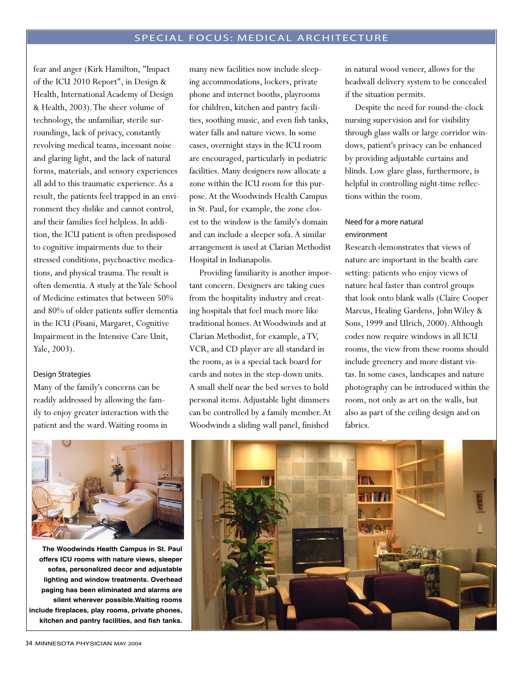fear and anger (Kirk Hamilton, "Impact of the ICU 2010 Report", in Design & Health, International Academy of Design & Health, 2003). The sheer volume of technology, the unfamiliar, sterile surroundings, lack of privacy, constantly revolving medical teams, incessant noise and glaring light, and the lack of natural forms, materials, and sensory experiences all add to this traumatic experience. As a result, the patients feel trapped in an environment they dislike and cannot control, and their families feel helpless. In addition, the ICU patient is often predisposed to cognitive impairments due to their stressed conditions, psychoactive medications, and physical trauma. The result is often dementia. A study at the Yale School of Medicine estimates that between 50% and 80% of older patients suffer dementia in the ICU (Pisani, Margaret, Cognitive Impairment in the Intensive Care Unit, Yale, 2003).

#### Design Strategies

Many of the family's concerns can be readily addressed by allowing the family to enjoy greater interaction with the patient and the ward. Waiting rooms in

many new facilities now include sleeping accommodations, lockers, private phone and internet booths, playrooms for children, kitchen and pantry facilities, soothing music, and even fish tanks, water falls and nature views. In some cases, overnight stays in the ICU room are encouraged, particularly in pediatric facilities. Many designers now allocate a zone within the ICU room for this purpose. At the Woodwinds Health Campus in St. Paul, for example, the zone closest to the window is the family's domain and can include a sleeper sofa. A similar arrangement is used at Clarian Methodist Hospital in Indianapolis.

Providing familiarity is another important concern. Designers are taking cues from the hospitality industry and creating hospitals that feel much more like traditional homes. At Woodwinds and at Clarian Methodist, for example, a TV, VCR, and CD player are all standard in the room, as is a special tack board for cards and notes in the step-down units. A small shelf near the bed serves to hold personal items. Adjustable light dimmers can be controlled by a family member. At Woodwinds a sliding wall panel, finished

in natural wood veneer, allows for the headwall delivery system to be concealed if the situation permits.

Despite the need for round-the-clock nursing supervision and for visibility through glass walls or large corridor windows, patient's privacy can be enhanced by providing adjustable curtains and blinds. Low glare glass, furthermore, is helpful in controlling night-time reflections within the room.

### Need for a more natural environment

Research demonstrates that views of nature are important in the health care setting: patients who enjoy views of nature heal faster than control groups that look onto blank walls (Claire Cooper Marcus, Healing Gardens, John Wiley & Sons, 1999 and Ulrich, 2000). Although codes now require windows in all ICU rooms, the view from these rooms should include greenery and more distant vistas. In some cases, landscapes and nature photography can be introduced within the room, not only as art on the walls, but also as part of the ceiling design and on fabrics.



**The Woodwinds Health Campus in St. Paul offers ICU rooms with nature views, sleeper sofas, personalized decor and adjustable lighting and window treatments. Overhead paging has been eliminated and alarms are silent wherever possible.Waiting rooms include fireplaces, play rooms, private phones, kitchen and pantry facilities, and fish tanks.**